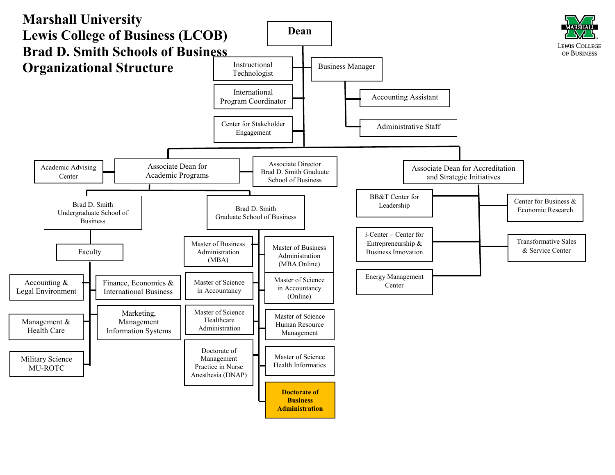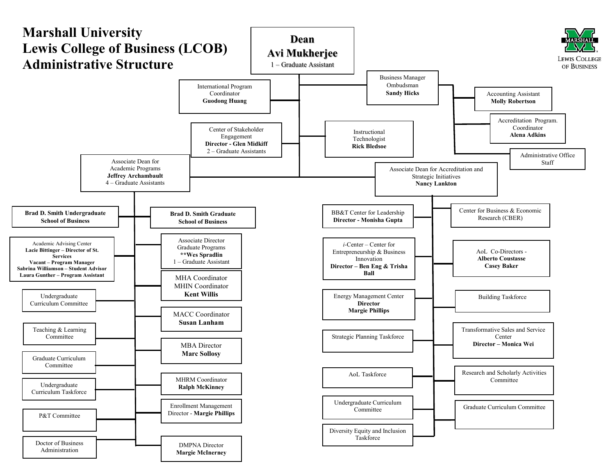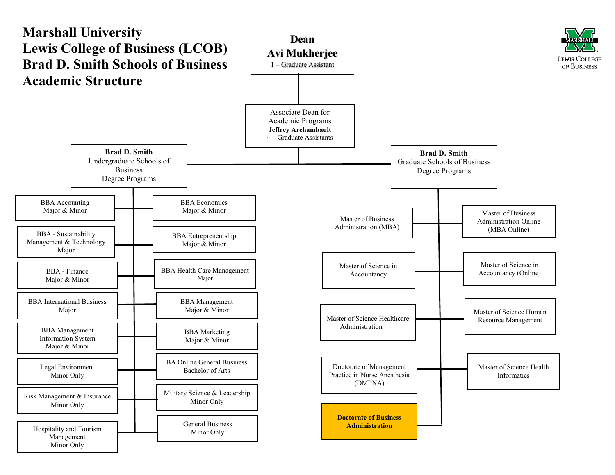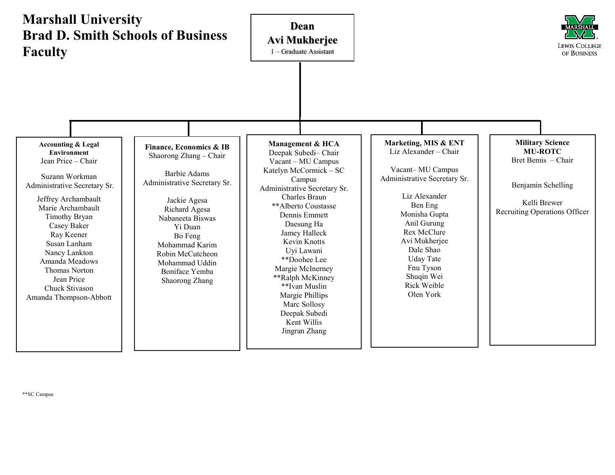